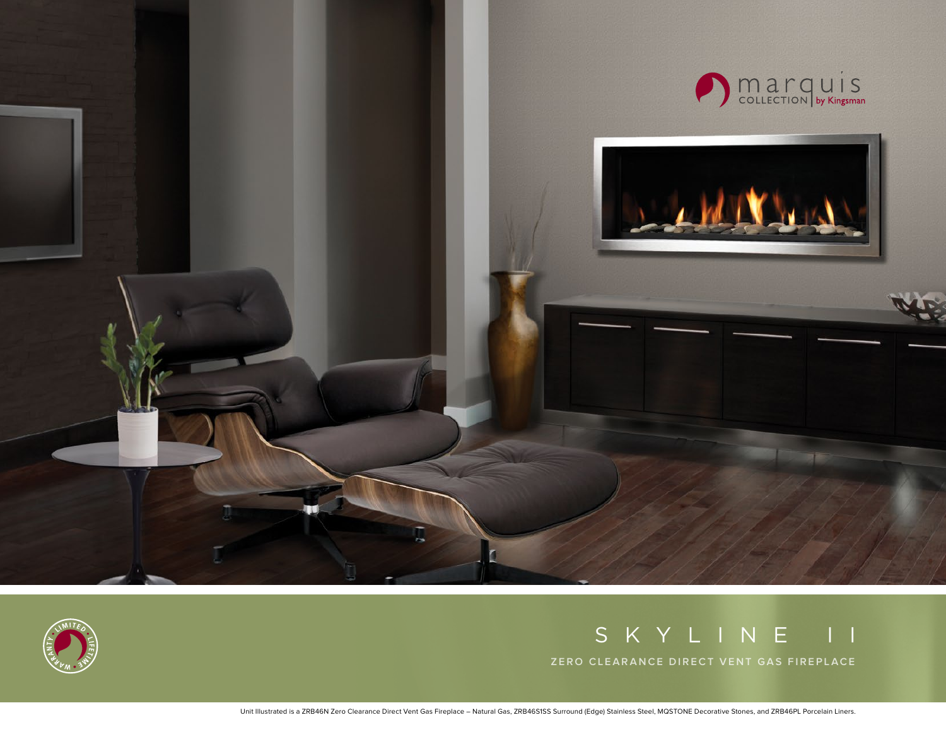



# SKYLINE II

**ZERO CLEARANCE DIRECT VENT GAS FIREPLACE**

Unit Illustrated is a ZRB46N Zero Clearance Direct Vent Gas Fireplace – Natural Gas, ZRB46S1SS Surround (Edge) Stainless Steel, MQSTONE Decorative Stones, and ZRB46PL Porcelain Liners.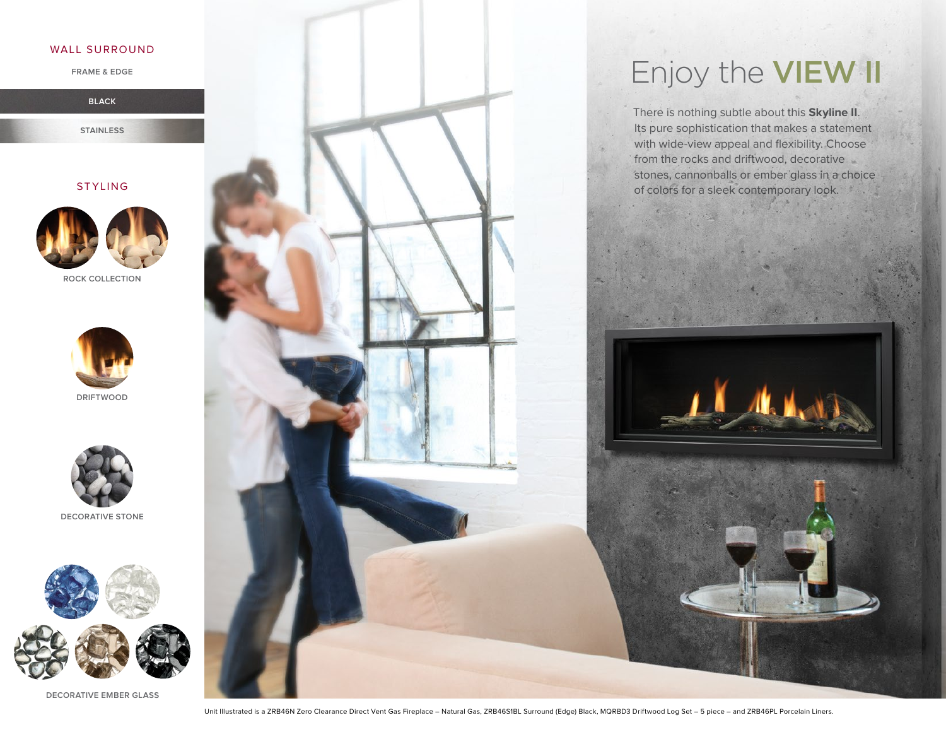#### WALL SURROUND

**FRAME & EDGE**

**BLACK**

**STAINLESS**

### STYLING



**ROCK COLLECTION**







**DECORATIVE STONE**



**DECORATIVE EMBER GLASS**

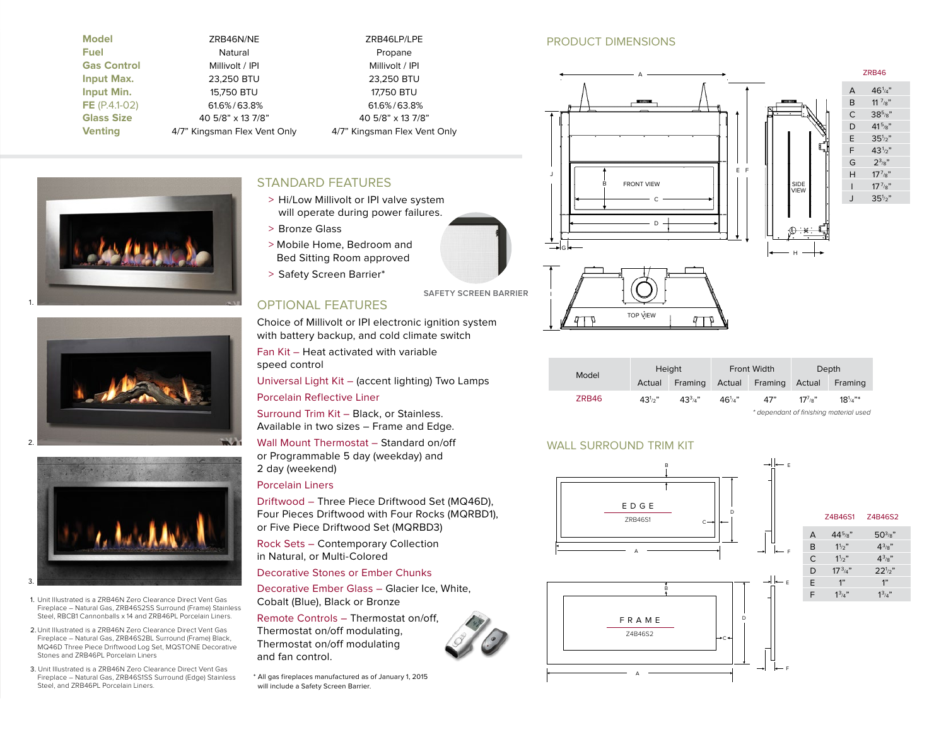| <b>Model</b>       |
|--------------------|
| <b>Fuel</b>        |
| <b>Gas Control</b> |
| Input Max.         |
| <b>Input Min.</b>  |
| FE $(P.4.1-02)$    |
| <b>Glass Size</b>  |
| <b>Venting</b>     |

| <b>Model</b>       | ZRB46N/NE                    | ZRB46LP/L              |
|--------------------|------------------------------|------------------------|
| Fuel               | Natural                      | Propane                |
| <b>Gas Control</b> | Millivolt / IPI              | Millivolt / I          |
| <b>Input Max.</b>  | 23,250 BTU                   | 23,250 BT              |
| <b>Input Min.</b>  | 15,750 BTU                   | 17,750 BT              |
| $FE (P.4.1-02)$    | 61.6%/63.8%                  | 61.6%/63.              |
| <b>Glass Size</b>  | 40 5/8" x 13 7/8"            | 40 $5/8$ " $\times$ 13 |
| <b>Venting</b>     | 4/7" Kingsman Flex Vent Only | 4/7" Kingsman Flex     |
|                    |                              |                        |

**Model** ZRB46N/NE ZRB46LP/LPE **Millivolt / IPI Input Max.** 23,250 BTU 23,250 BTU **17,750 BTU**  $61.6\% / 63.8\%$ **Glass Size** 40 5/8" x 13 7/8" 40 5/8" x 13 7/8" **Venting** 4/7" Kingsman Flex Vent Only 4/7" Kingsman Flex Vent Only

# STANDARD FEATURES

- > Hi/Low Millivolt or IPI valve system will operate during power failures.
- > Bronze Glass
- > Mobile Home, Bedroom and Bed Sitting Room approved
- > Safety Screen Barrier\*

# OPTIONAL FEATURES

Choice of Millivolt or IPI electronic ignition system with battery backup, and cold climate switch

Fan Kit – Heat activated with variable speed control

Universal Light Kit – (accent lighting) Two Lamps

Porcelain Reflective Liner

Surround Trim Kit – Black, or Stainless. Available in two sizes – Frame and Edge.

Wall Mount Thermostat – Standard on/off or Programmable 5 day (weekday) and 2 day (weekend)

#### Porcelain Liners

Driftwood – Three Piece Driftwood Set (MQ46D), Four Pieces Driftwood with Four Rocks (MQRBD1), or Five Piece Driftwood Set (MQRBD3)

Rock Sets – Contemporary Collection in Natural, or Multi-Colored

#### Decorative Stones or Ember Chunks

Decorative Ember Glass – Glacier Ice, White, Cobalt (Blue), Black or Bronze

Remote Controls – Thermostat on/off, Thermostat on/off modulating, Thermostat on/off modulating and fan control.

\* All gas fireplaces manufactured as of January 1, 2015 will include a Safety Screen Barrier.

# PRODUCT DIMENSIONS **ZRB46 Fireplace Dimensions**





| Model | Height     |              | Front Width  |                       | Depth                |                  |
|-------|------------|--------------|--------------|-----------------------|----------------------|------------------|
|       | Actual     | Framing      |              | Actual Framing Actual |                      | Framing          |
| ZRB46 | $43^{1/2}$ | $4.3^{3}/4"$ | $46^{1}_{4}$ | 47"                   | $17^{7}$ / $\circ$ " | $18^{1}_{/4}$ "* |

#### \* dependant of finishing material used

#### WALL SURROUND TRIM KIT









- 1. Unit Illustrated is a ZRB46N Zero Clearance Direct Vent Gas Fireplace – Natural Gas, ZRB46S2SS Surround (Frame) Stainless Steel, RBCB1 Cannonballs x 14 and ZRB46PL Porcelain Liners.
- 2.Unit Illustrated is a ZRB46N Zero Clearance Direct Vent Gas Fireplace – Natural Gas, ZRB46S2BL Surround (Frame) Black, MQ46D Three Piece Driftwood Log Set, MQSTONE Decorative Stones and ZRB46PL Porcelain Liners
- 3. Unit Illustrated is a ZRB46N Zero Clearance Direct Vent Gas Fireplace – Natural Gas, ZRB46S1SS Surround (Edge) Stainless Steel, and ZRB46PL Porcelain Liners.

**SAFETY SCREEN BARRIER**